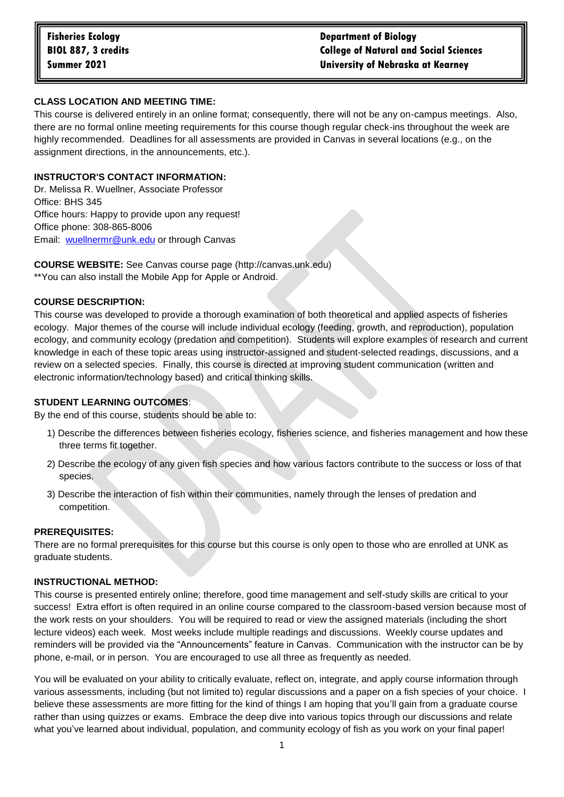# **CLASS LOCATION AND MEETING TIME:**

This course is delivered entirely in an online format; consequently, there will not be any on-campus meetings. Also, there are no formal online meeting requirements for this course though regular check-ins throughout the week are highly recommended. Deadlines for all assessments are provided in Canvas in several locations (e.g., on the assignment directions, in the announcements, etc.).

### **INSTRUCTOR'S CONTACT INFORMATION:**

Dr. Melissa R. Wuellner, Associate Professor Office: BHS 345 Office hours: Happy to provide upon any request! Office phone: 308-865-8006 Email: [wuellnermr@unk.edu](mailto:wuellnermr@unk.edu) or through Canvas

**COURSE WEBSITE:** See Canvas course page (http://canvas.unk.edu) \*\*You can also install the Mobile App for Apple or Android.

#### **COURSE DESCRIPTION:**

This course was developed to provide a thorough examination of both theoretical and applied aspects of fisheries ecology. Major themes of the course will include individual ecology (feeding, growth, and reproduction), population ecology, and community ecology (predation and competition). Students will explore examples of research and current knowledge in each of these topic areas using instructor-assigned and student-selected readings, discussions, and a review on a selected species. Finally, this course is directed at improving student communication (written and electronic information/technology based) and critical thinking skills.

### **STUDENT LEARNING OUTCOMES**:

By the end of this course, students should be able to:

- 1) Describe the differences between fisheries ecology, fisheries science, and fisheries management and how these three terms fit together.
- 2) Describe the ecology of any given fish species and how various factors contribute to the success or loss of that species.
- 3) Describe the interaction of fish within their communities, namely through the lenses of predation and competition.

# **PREREQUISITES:**

There are no formal prerequisites for this course but this course is only open to those who are enrolled at UNK as graduate students.

#### **INSTRUCTIONAL METHOD:**

This course is presented entirely online; therefore, good time management and self-study skills are critical to your success! Extra effort is often required in an online course compared to the classroom-based version because most of the work rests on your shoulders. You will be required to read or view the assigned materials (including the short lecture videos) each week. Most weeks include multiple readings and discussions. Weekly course updates and reminders will be provided via the "Announcements" feature in Canvas. Communication with the instructor can be by phone, e-mail, or in person. You are encouraged to use all three as frequently as needed.

You will be evaluated on your ability to critically evaluate, reflect on, integrate, and apply course information through various assessments, including (but not limited to) regular discussions and a paper on a fish species of your choice. I believe these assessments are more fitting for the kind of things I am hoping that you'll gain from a graduate course rather than using quizzes or exams. Embrace the deep dive into various topics through our discussions and relate what you've learned about individual, population, and community ecology of fish as you work on your final paper!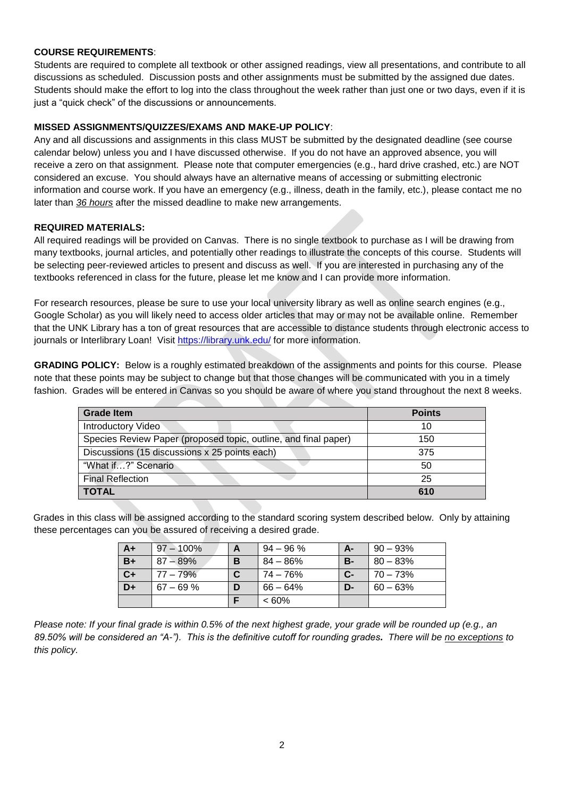# **COURSE REQUIREMENTS**:

Students are required to complete all textbook or other assigned readings, view all presentations, and contribute to all discussions as scheduled. Discussion posts and other assignments must be submitted by the assigned due dates. Students should make the effort to log into the class throughout the week rather than just one or two days, even if it is just a "quick check" of the discussions or announcements.

# **MISSED ASSIGNMENTS/QUIZZES/EXAMS AND MAKE-UP POLICY**:

Any and all discussions and assignments in this class MUST be submitted by the designated deadline (see course calendar below) unless you and I have discussed otherwise. If you do not have an approved absence, you will receive a zero on that assignment. Please note that computer emergencies (e.g., hard drive crashed, etc.) are NOT considered an excuse. You should always have an alternative means of accessing or submitting electronic information and course work. If you have an emergency (e.g., illness, death in the family, etc.), please contact me no later than *36 hours* after the missed deadline to make new arrangements.

# **REQUIRED MATERIALS:**

All required readings will be provided on Canvas. There is no single textbook to purchase as I will be drawing from many textbooks, journal articles, and potentially other readings to illustrate the concepts of this course. Students will be selecting peer-reviewed articles to present and discuss as well. If you are interested in purchasing any of the textbooks referenced in class for the future, please let me know and I can provide more information.

For research resources, please be sure to use your local university library as well as online search engines (e.g., Google Scholar) as you will likely need to access older articles that may or may not be available online. Remember that the UNK Library has a ton of great resources that are accessible to distance students through electronic access to journals or Interlibrary Loan! Visit<https://library.unk.edu/> for more information.

**GRADING POLICY:** Below is a roughly estimated breakdown of the assignments and points for this course. Please note that these points may be subject to change but that those changes will be communicated with you in a timely fashion. Grades will be entered in Canvas so you should be aware of where you stand throughout the next 8 weeks.

| <b>Grade Item</b>                                               | <b>Points</b> |
|-----------------------------------------------------------------|---------------|
| Introductory Video                                              | 10            |
| Species Review Paper (proposed topic, outline, and final paper) | 150           |
| Discussions (15 discussions x 25 points each)                   | 375           |
| "What if?" Scenario                                             | 50            |
| <b>Final Reflection</b>                                         | 25            |
| <b>TOTAL</b>                                                    | 610           |

Grades in this class will be assigned according to the standard scoring system described below. Only by attaining these percentages can you be assured of receiving a desired grade.

| $A+$ | $97 - 100\%$ | A | $94 - 96 \%$ | A-        | $90 - 93\%$ |
|------|--------------|---|--------------|-----------|-------------|
| $B+$ | $87 - 89\%$  | B | 84 – 86%     | <b>B-</b> | $80 - 83%$  |
| $C+$ | $77 - 79\%$  | C | 74 – 76%     | $C-$      | l 70 – 73%  |
| D+   | $67 - 69 \%$ | D | $66 - 64\%$  | D-        | $60 - 63%$  |
|      |              |   | $<60\%$      |           |             |

*Please note: If your final grade is within 0.5% of the next highest grade, your grade will be rounded up (e.g., an 89.50% will be considered an "A-"). This is the definitive cutoff for rounding grades. There will be no exceptions to this policy.*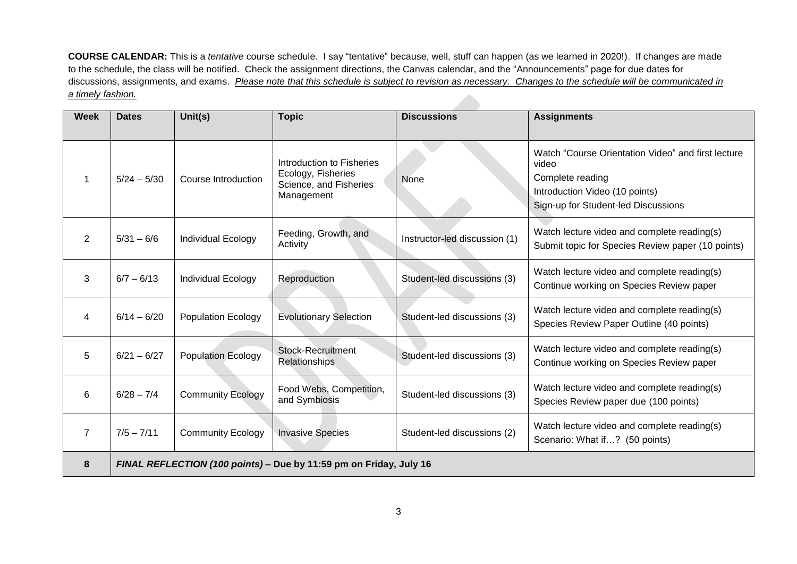**COURSE CALENDAR:** This is a *tentative* course schedule. I say "tentative" because, well, stuff can happen (as we learned in 2020!). If changes are made to the schedule, the class will be notified. Check the assignment directions, the Canvas calendar, and the "Announcements" page for due dates for discussions, assignments, and exams. *Please note that this schedule is subject to revision as necessary. Changes to the schedule will be communicated in a timely fashion.*

| <b>Week</b>    | <b>Dates</b>                                                       | Unit(s)                   | <b>Topic</b>                                                                            | <b>Discussions</b>            | <b>Assignments</b>                                                                                                                                       |  |  |  |
|----------------|--------------------------------------------------------------------|---------------------------|-----------------------------------------------------------------------------------------|-------------------------------|----------------------------------------------------------------------------------------------------------------------------------------------------------|--|--|--|
|                | $5/24 - 5/30$                                                      | Course Introduction       | Introduction to Fisheries<br>Ecology, Fisheries<br>Science, and Fisheries<br>Management | None                          | Watch "Course Orientation Video" and first lecture<br>video<br>Complete reading<br>Introduction Video (10 points)<br>Sign-up for Student-led Discussions |  |  |  |
| 2              | $5/31 - 6/6$                                                       | Individual Ecology        | Feeding, Growth, and<br>Activity                                                        | Instructor-led discussion (1) | Watch lecture video and complete reading(s)<br>Submit topic for Species Review paper (10 points)                                                         |  |  |  |
| 3              | $6/7 - 6/13$                                                       | Individual Ecology        | Reproduction                                                                            | Student-led discussions (3)   | Watch lecture video and complete reading(s)<br>Continue working on Species Review paper                                                                  |  |  |  |
| 4              | $6/14 - 6/20$                                                      | <b>Population Ecology</b> | <b>Evolutionary Selection</b>                                                           | Student-led discussions (3)   | Watch lecture video and complete reading(s)<br>Species Review Paper Outline (40 points)                                                                  |  |  |  |
| 5              | $6/21 - 6/27$                                                      | <b>Population Ecology</b> | <b>Stock-Recruitment</b><br>Relationships                                               | Student-led discussions (3)   | Watch lecture video and complete reading(s)<br>Continue working on Species Review paper                                                                  |  |  |  |
| 6              | $6/28 - 7/4$                                                       | <b>Community Ecology</b>  | Food Webs, Competition,<br>and Symbiosis                                                | Student-led discussions (3)   | Watch lecture video and complete reading(s)<br>Species Review paper due (100 points)                                                                     |  |  |  |
| $\overline{7}$ | $7/5 - 7/11$                                                       | <b>Community Ecology</b>  | <b>Invasive Species</b>                                                                 | Student-led discussions (2)   | Watch lecture video and complete reading(s)<br>Scenario: What if? (50 points)                                                                            |  |  |  |
| 8              | FINAL REFLECTION (100 points) - Due by 11:59 pm on Friday, July 16 |                           |                                                                                         |                               |                                                                                                                                                          |  |  |  |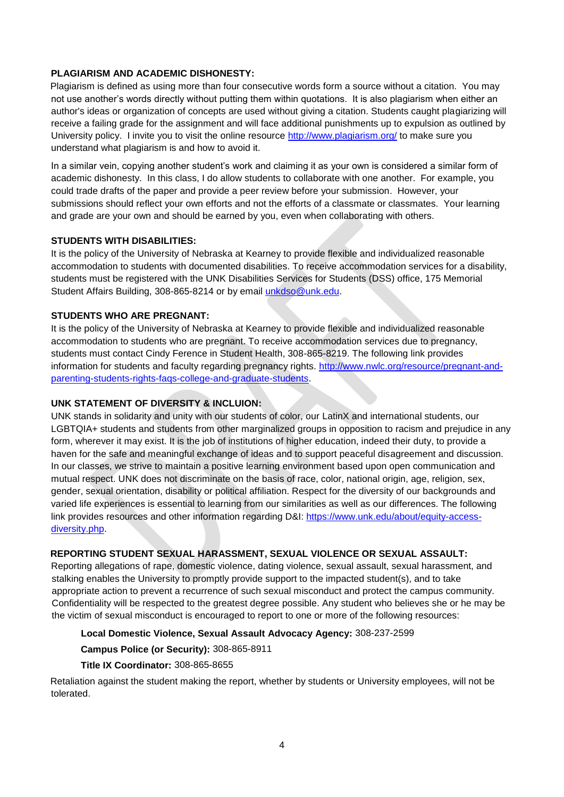# **PLAGIARISM AND ACADEMIC DISHONESTY:**

Plagiarism is defined as using more than four consecutive words form a source without a citation. You may not use another's words directly without putting them within quotations. It is also plagiarism when either an author's ideas or organization of concepts are used without giving a citation. Students caught plagiarizing will receive a failing grade for the assignment and will face additional punishments up to expulsion as outlined by University policy. I invite you to visit the online resource<http://www.plagiarism.org/> to make sure you understand what plagiarism is and how to avoid it.

In a similar vein, copying another student's work and claiming it as your own is considered a similar form of academic dishonesty. In this class, I do allow students to collaborate with one another. For example, you could trade drafts of the paper and provide a peer review before your submission. However, your submissions should reflect your own efforts and not the efforts of a classmate or classmates. Your learning and grade are your own and should be earned by you, even when collaborating with others.

# **STUDENTS WITH DISABILITIES:**

It is the policy of the University of Nebraska at Kearney to provide flexible and individualized reasonable accommodation to students with documented disabilities. To receive accommodation services for a disability, students must be registered with the UNK Disabilities Services for Students (DSS) office, 175 Memorial Student Affairs Building, 308-865-8214 or by email [unkdso@unk.edu.](mailto:unkdso@unk.edu)

### **STUDENTS WHO ARE PREGNANT:**

It is the policy of the University of Nebraska at Kearney to provide flexible and individualized reasonable accommodation to students who are pregnant. To receive accommodation services due to pregnancy, students must contact Cindy Ference in Student Health, 308-865-8219. The following link provides information for students and faculty regarding pregnancy rights. [http://www.nwlc.org/resource/pregnant-and](http://www.nwlc.org/resource/pregnant-and-parenting-students-rights-faqs-college-and-graduate-students)[parenting-students-rights-faqs-college-and-graduate-students.](http://www.nwlc.org/resource/pregnant-and-parenting-students-rights-faqs-college-and-graduate-students)

#### **UNK STATEMENT OF DIVERSITY & INCLUION:**

UNK stands in solidarity and unity with our students of color, our LatinX and international students, our LGBTQIA+ students and students from other marginalized groups in opposition to racism and prejudice in any form, wherever it may exist. It is the job of institutions of higher education, indeed their duty, to provide a haven for the safe and meaningful exchange of ideas and to support peaceful disagreement and discussion. In our classes, we strive to maintain a positive learning environment based upon open communication and mutual respect. UNK does not discriminate on the basis of race, color, national origin, age, religion, sex, gender, sexual orientation, disability or political affiliation. Respect for the diversity of our backgrounds and varied life experiences is essential to learning from our similarities as well as our differences. The following link provides resources and other information regarding D&I: [https://www.unk.edu/about/equity-access](https://www.unk.edu/about/equity-access-diversity.php)[diversity.php.](https://www.unk.edu/about/equity-access-diversity.php)

# **REPORTING STUDENT SEXUAL HARASSMENT, SEXUAL VIOLENCE OR SEXUAL ASSAULT:**

Reporting allegations of rape, domestic violence, dating violence, sexual assault, sexual harassment, and stalking enables the University to promptly provide support to the impacted student(s), and to take appropriate action to prevent a recurrence of such sexual misconduct and protect the campus community. Confidentiality will be respected to the greatest degree possible. Any student who believes she or he may be the victim of sexual misconduct is encouraged to report to one or more of the following resources:

# **Local Domestic Violence, Sexual Assault Advocacy Agency:** 308-237-2599

# **Campus Police (or Security):** 308-865-8911

#### **Title IX Coordinator:** 308-865-8655

Retaliation against the student making the report, whether by students or University employees, will not be tolerated.